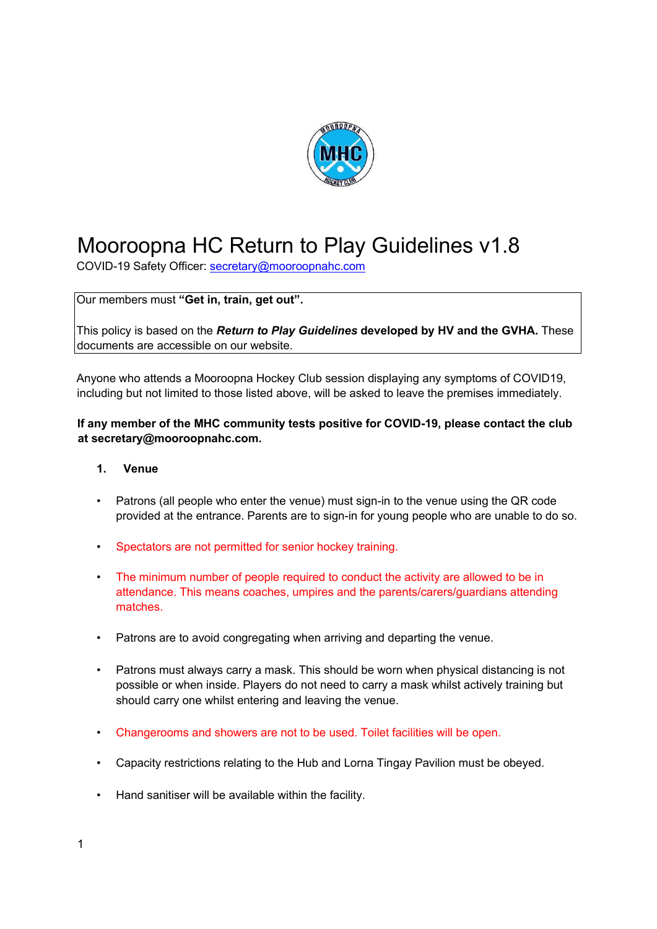

# Mooroopna HC Return to Play Guidelines v1.8

COVID-19 Safety Officer: secretary@mooroopnahc.com

Our members must **"Get in, train, get out".**

This policy is based on the *Return to Play Guidelines* **developed by HV and the GVHA.** These documents are accessible on our website.

Anyone who attends a Mooroopna Hockey Club session displaying any symptoms of COVID19, including but not limited to those listed above, will be asked to leave the premises immediately.

### **If any member of the MHC community tests positive for COVID-19, please contact the club at secretary@mooroopnahc.com.**

#### **1. Venue**

- Patrons (all people who enter the venue) must sign-in to the venue using the QR code provided at the entrance. Parents are to sign-in for young people who are unable to do so.
- Spectators are not permitted for senior hockey training.
- The minimum number of people required to conduct the activity are allowed to be in attendance. This means coaches, umpires and the parents/carers/guardians attending matches.
- Patrons are to avoid congregating when arriving and departing the venue.
- Patrons must always carry a mask. This should be worn when physical distancing is not possible or when inside. Players do not need to carry a mask whilst actively training but should carry one whilst entering and leaving the venue.
- Changerooms and showers are not to be used. Toilet facilities will be open.
- Capacity restrictions relating to the Hub and Lorna Tingay Pavilion must be obeyed.
- Hand sanitiser will be available within the facility.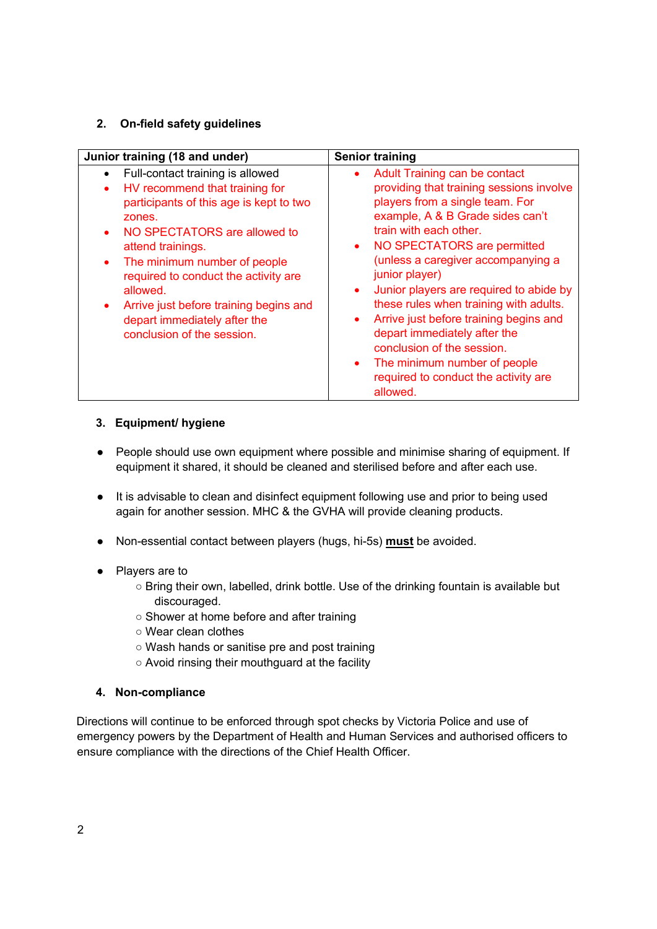## **2. On-field safety guidelines**

| Junior training (18 and under)                                                                                                                                                                                                                                                                                                                                                                     | <b>Senior training</b>                                                                                                                                                                                                                                                                                                                                                                                                                                                                                                                                                                                                     |
|----------------------------------------------------------------------------------------------------------------------------------------------------------------------------------------------------------------------------------------------------------------------------------------------------------------------------------------------------------------------------------------------------|----------------------------------------------------------------------------------------------------------------------------------------------------------------------------------------------------------------------------------------------------------------------------------------------------------------------------------------------------------------------------------------------------------------------------------------------------------------------------------------------------------------------------------------------------------------------------------------------------------------------------|
| Full-contact training is allowed<br>HV recommend that training for<br>$\bullet$<br>participants of this age is kept to two<br>zones.<br>NO SPECTATORS are allowed to<br>attend trainings.<br>The minimum number of people<br>$\bullet$<br>required to conduct the activity are<br>allowed.<br>Arrive just before training begins and<br>depart immediately after the<br>conclusion of the session. | <b>Adult Training can be contact</b><br>$\bullet$<br>providing that training sessions involve<br>players from a single team. For<br>example, A & B Grade sides can't<br>train with each other.<br>NO SPECTATORS are permitted<br>$\bullet$<br>(unless a caregiver accompanying a<br>junior player)<br>Junior players are required to abide by<br>$\bullet$<br>these rules when training with adults.<br>Arrive just before training begins and<br>$\bullet$<br>depart immediately after the<br>conclusion of the session.<br>The minimum number of people<br>$\bullet$<br>required to conduct the activity are<br>allowed. |

## **3. Equipment/ hygiene**

- People should use own equipment where possible and minimise sharing of equipment. If equipment it shared, it should be cleaned and sterilised before and after each use.
- It is advisable to clean and disinfect equipment following use and prior to being used again for another session. MHC & the GVHA will provide cleaning products.
- Non-essential contact between players (hugs, hi-5s) **must** be avoided.
- Players are to
	- Bring their own, labelled, drink bottle. Use of the drinking fountain is available but discouraged.
	- Shower at home before and after training
	- Wear clean clothes
	- Wash hands or sanitise pre and post training
	- Avoid rinsing their mouthguard at the facility

#### **4. Non-compliance**

Directions will continue to be enforced through spot checks by Victoria Police and use of emergency powers by the Department of Health and Human Services and authorised officers to ensure compliance with the directions of the Chief Health Officer.